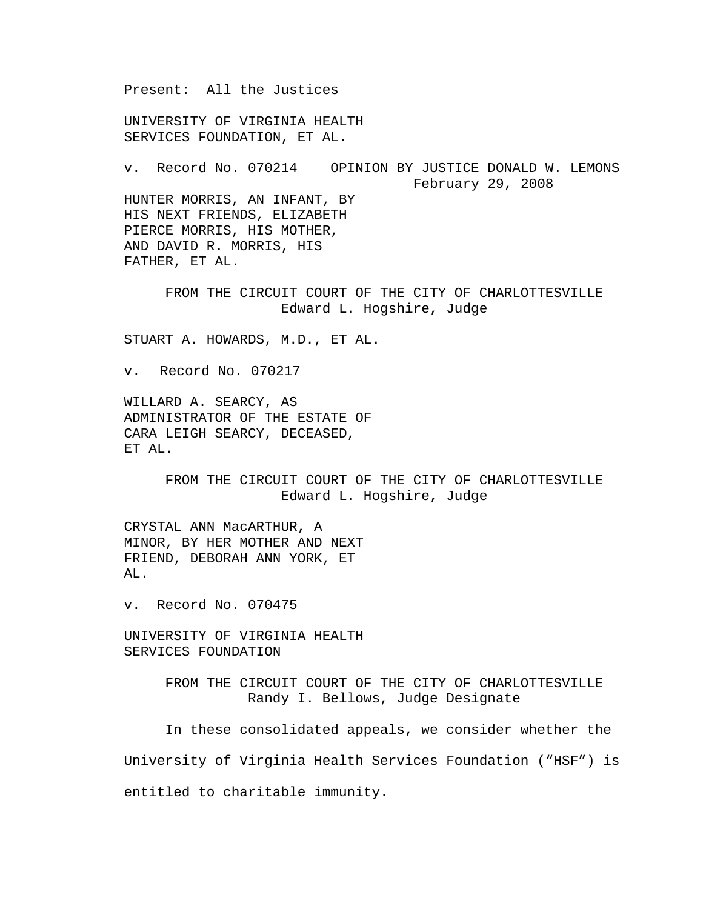Present: All the Justices

UNIVERSITY OF VIRGINIA HEALTH SERVICES FOUNDATION, ET AL.

v. Record No. 070214 OPINION BY JUSTICE DONALD W. LEMONS February 29, 2008 HUNTER MORRIS, AN INFANT, BY HIS NEXT FRIENDS, ELIZABETH PIERCE MORRIS, HIS MOTHER, AND DAVID R. MORRIS, HIS

FATHER, ET AL.

FROM THE CIRCUIT COURT OF THE CITY OF CHARLOTTESVILLE Edward L. Hogshire, Judge

STUART A. HOWARDS, M.D., ET AL.

v. Record No. 070217

WILLARD A. SEARCY, AS ADMINISTRATOR OF THE ESTATE OF CARA LEIGH SEARCY, DECEASED, ET AL.

> FROM THE CIRCUIT COURT OF THE CITY OF CHARLOTTESVILLE Edward L. Hogshire, Judge

CRYSTAL ANN MacARTHUR, A MINOR, BY HER MOTHER AND NEXT FRIEND, DEBORAH ANN YORK, ET AL.

v. Record No. 070475

UNIVERSITY OF VIRGINIA HEALTH SERVICES FOUNDATION

> FROM THE CIRCUIT COURT OF THE CITY OF CHARLOTTESVILLE Randy I. Bellows, Judge Designate

 In these consolidated appeals, we consider whether the University of Virginia Health Services Foundation ("HSF") is entitled to charitable immunity.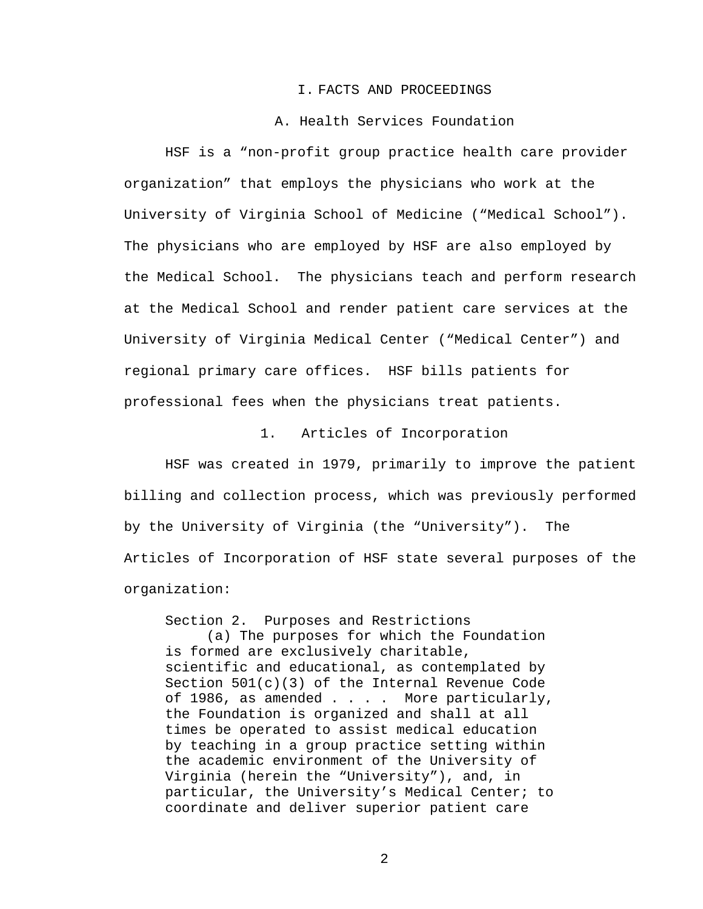#### I. FACTS AND PROCEEDINGS

### A. Health Services Foundation

 HSF is a "non-profit group practice health care provider organization" that employs the physicians who work at the University of Virginia School of Medicine ("Medical School"). The physicians who are employed by HSF are also employed by the Medical School. The physicians teach and perform research at the Medical School and render patient care services at the University of Virginia Medical Center ("Medical Center") and regional primary care offices. HSF bills patients for professional fees when the physicians treat patients.

1. Articles of Incorporation

 HSF was created in 1979, primarily to improve the patient billing and collection process, which was previously performed by the University of Virginia (the "University"). The Articles of Incorporation of HSF state several purposes of the organization:

Section 2. Purposes and Restrictions (a) The purposes for which the Foundation is formed are exclusively charitable, scientific and educational, as contemplated by Section 501(c)(3) of the Internal Revenue Code of 1986, as amended . . . . More particularly, the Foundation is organized and shall at all times be operated to assist medical education by teaching in a group practice setting within the academic environment of the University of Virginia (herein the "University"), and, in particular, the University's Medical Center; to coordinate and deliver superior patient care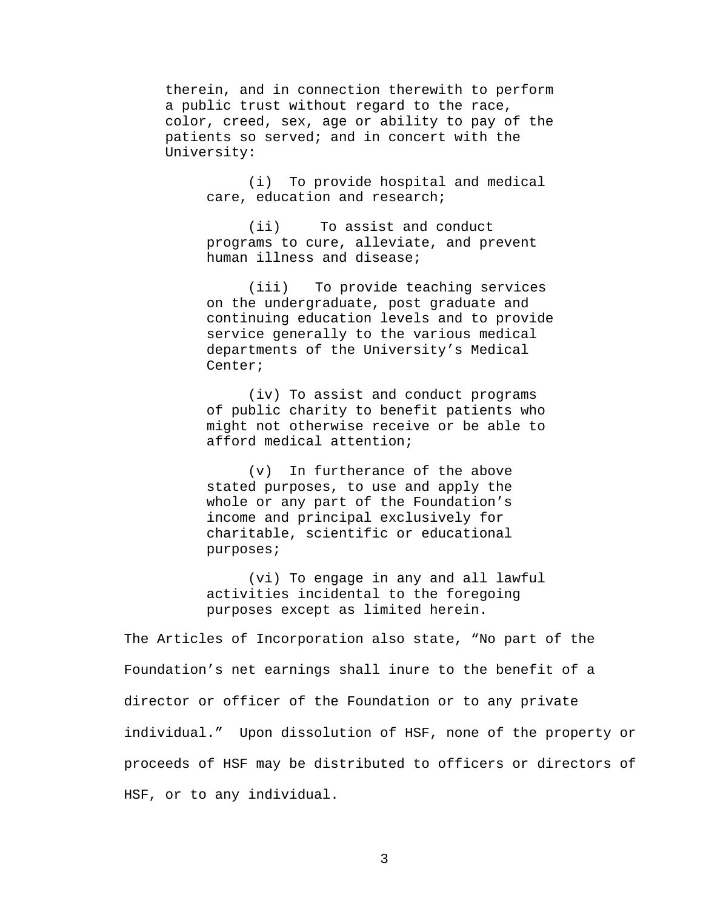therein, and in connection therewith to perform a public trust without regard to the race, color, creed, sex, age or ability to pay of the patients so served; and in concert with the University:

> (i) To provide hospital and medical care, education and research;

(ii) To assist and conduct programs to cure, alleviate, and prevent human illness and disease;

(iii) To provide teaching services on the undergraduate, post graduate and continuing education levels and to provide service generally to the various medical departments of the University's Medical Center;

(iv) To assist and conduct programs of public charity to benefit patients who might not otherwise receive or be able to afford medical attention;

(v) In furtherance of the above stated purposes, to use and apply the whole or any part of the Foundation's income and principal exclusively for charitable, scientific or educational purposes;

(vi) To engage in any and all lawful activities incidental to the foregoing purposes except as limited herein.

The Articles of Incorporation also state, "No part of the Foundation's net earnings shall inure to the benefit of a director or officer of the Foundation or to any private individual." Upon dissolution of HSF, none of the property or proceeds of HSF may be distributed to officers or directors of HSF, or to any individual.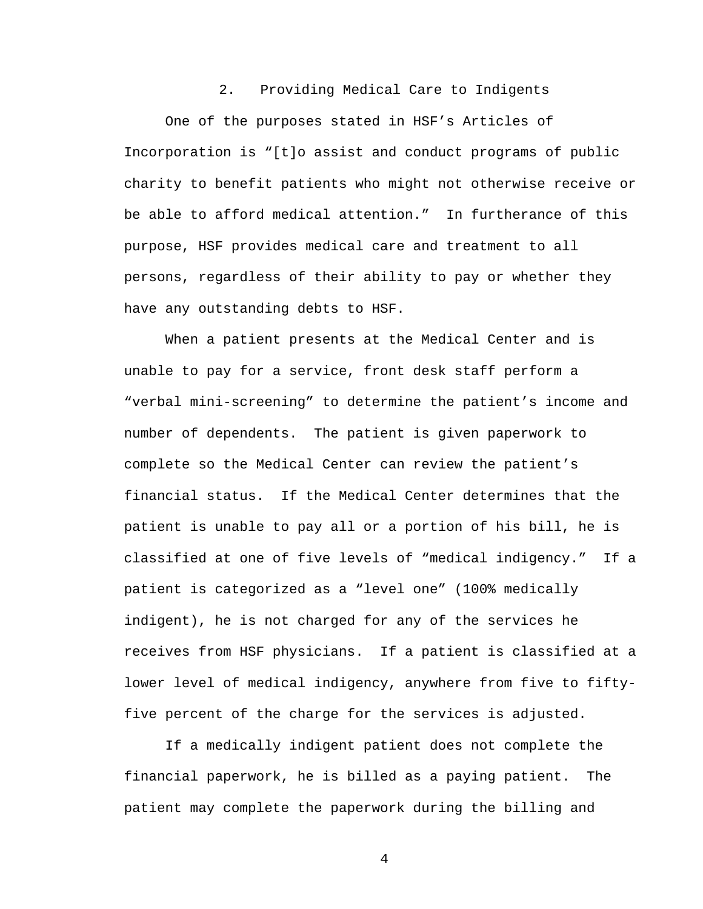#### 2. Providing Medical Care to Indigents

 One of the purposes stated in HSF's Articles of Incorporation is "[t]o assist and conduct programs of public charity to benefit patients who might not otherwise receive or be able to afford medical attention." In furtherance of this purpose, HSF provides medical care and treatment to all persons, regardless of their ability to pay or whether they have any outstanding debts to HSF.

 When a patient presents at the Medical Center and is unable to pay for a service, front desk staff perform a "verbal mini-screening" to determine the patient's income and number of dependents. The patient is given paperwork to complete so the Medical Center can review the patient's financial status. If the Medical Center determines that the patient is unable to pay all or a portion of his bill, he is classified at one of five levels of "medical indigency." If a patient is categorized as a "level one" (100% medically indigent), he is not charged for any of the services he receives from HSF physicians. If a patient is classified at a lower level of medical indigency, anywhere from five to fiftyfive percent of the charge for the services is adjusted.

 If a medically indigent patient does not complete the financial paperwork, he is billed as a paying patient. The patient may complete the paperwork during the billing and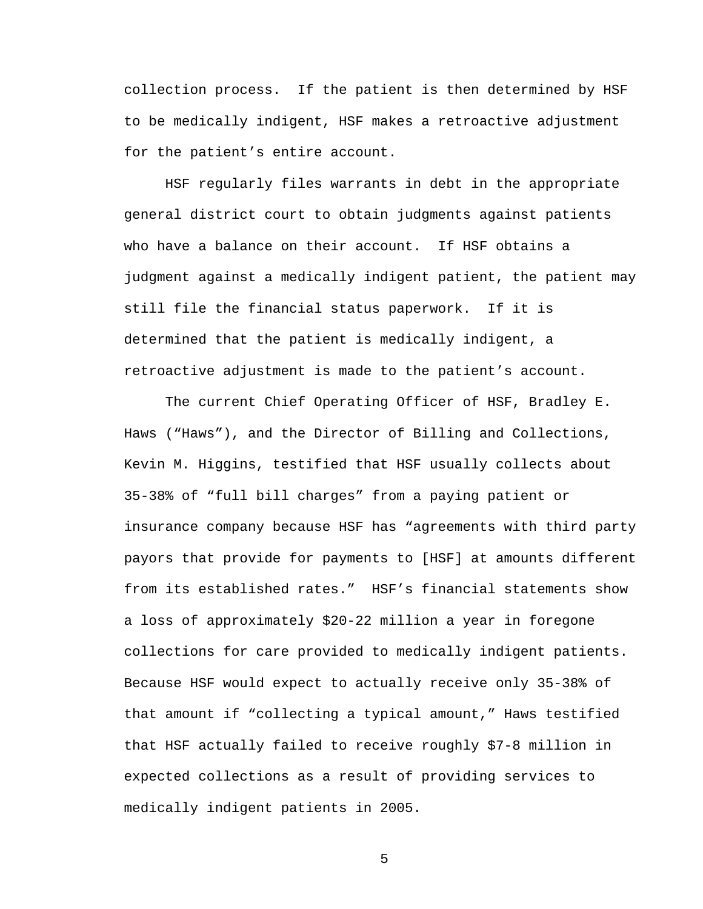collection process. If the patient is then determined by HSF to be medically indigent, HSF makes a retroactive adjustment for the patient's entire account.

 HSF regularly files warrants in debt in the appropriate general district court to obtain judgments against patients who have a balance on their account. If HSF obtains a judgment against a medically indigent patient, the patient may still file the financial status paperwork. If it is determined that the patient is medically indigent, a retroactive adjustment is made to the patient's account.

The current Chief Operating Officer of HSF, Bradley E. Haws ("Haws"), and the Director of Billing and Collections, Kevin M. Higgins, testified that HSF usually collects about 35-38% of "full bill charges" from a paying patient or insurance company because HSF has "agreements with third party payors that provide for payments to [HSF] at amounts different from its established rates." HSF's financial statements show a loss of approximately \$20-22 million a year in foregone collections for care provided to medically indigent patients. Because HSF would expect to actually receive only 35-38% of that amount if "collecting a typical amount," Haws testified that HSF actually failed to receive roughly \$7-8 million in expected collections as a result of providing services to medically indigent patients in 2005.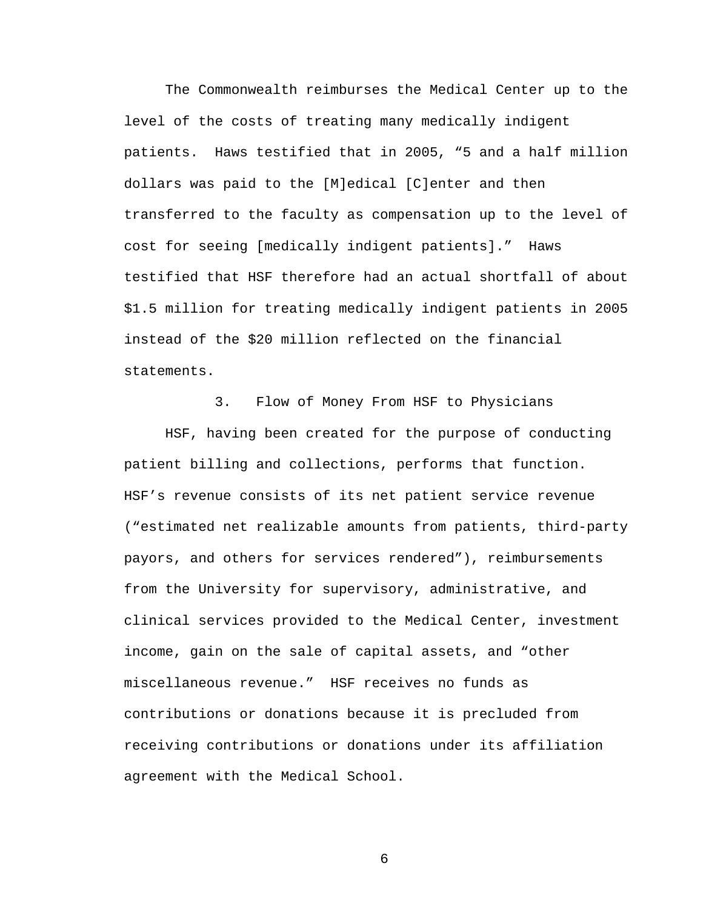The Commonwealth reimburses the Medical Center up to the level of the costs of treating many medically indigent patients. Haws testified that in 2005, "5 and a half million dollars was paid to the [M]edical [C]enter and then transferred to the faculty as compensation up to the level of cost for seeing [medically indigent patients]." Haws testified that HSF therefore had an actual shortfall of about \$1.5 million for treating medically indigent patients in 2005 instead of the \$20 million reflected on the financial statements.

3. Flow of Money From HSF to Physicians HSF, having been created for the purpose of conducting patient billing and collections, performs that function. HSF's revenue consists of its net patient service revenue ("estimated net realizable amounts from patients, third-party payors, and others for services rendered"), reimbursements from the University for supervisory, administrative, and clinical services provided to the Medical Center, investment income, gain on the sale of capital assets, and "other miscellaneous revenue." HSF receives no funds as contributions or donations because it is precluded from receiving contributions or donations under its affiliation agreement with the Medical School.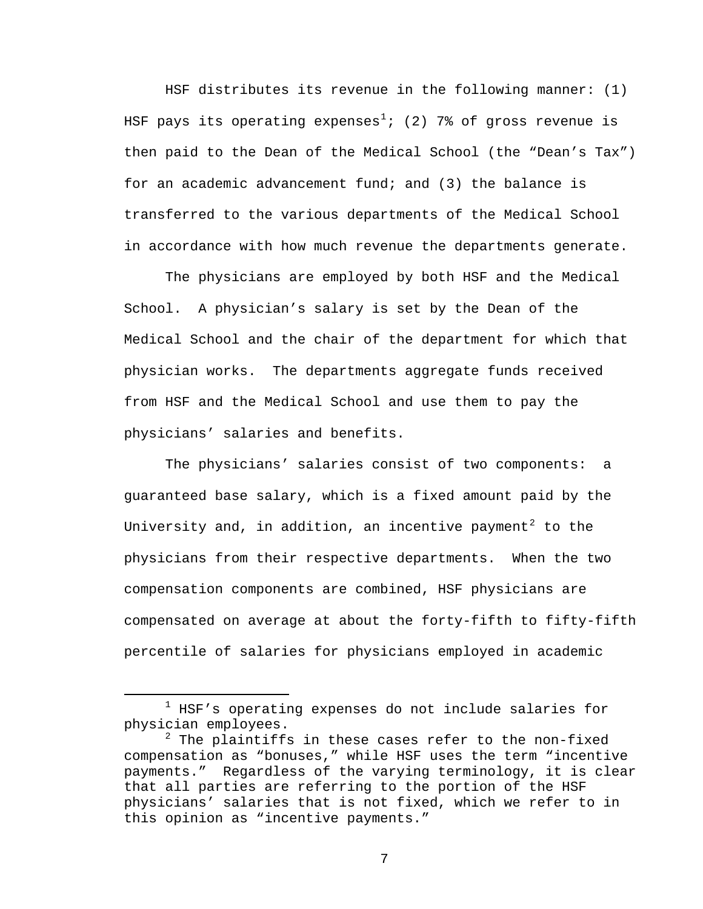HSF distributes its revenue in the following manner: (1) HSF pays its operating expenses<sup>[1](#page-6-0)</sup>; (2) 7% of gross revenue is then paid to the Dean of the Medical School (the "Dean's Tax") for an academic advancement fund; and (3) the balance is transferred to the various departments of the Medical School in accordance with how much revenue the departments generate.

 The physicians are employed by both HSF and the Medical School. A physician's salary is set by the Dean of the Medical School and the chair of the department for which that physician works. The departments aggregate funds received from HSF and the Medical School and use them to pay the physicians' salaries and benefits.

 The physicians' salaries consist of two components: a guaranteed base salary, which is a fixed amount paid by the University and, in addition, an incentive payment<sup>[2](#page-6-1)</sup> to the physicians from their respective departments. When the two compensation components are combined, HSF physicians are compensated on average at about the forty-fifth to fifty-fifth percentile of salaries for physicians employed in academic

<span id="page-6-0"></span><sup>&</sup>lt;u>1</u>  $1$  HSF's operating expenses do not include salaries for physician employees.

<span id="page-6-1"></span> $2$  The plaintiffs in these cases refer to the non-fixed compensation as "bonuses," while HSF uses the term "incentive payments." Regardless of the varying terminology, it is clear that all parties are referring to the portion of the HSF physicians' salaries that is not fixed, which we refer to in this opinion as "incentive payments."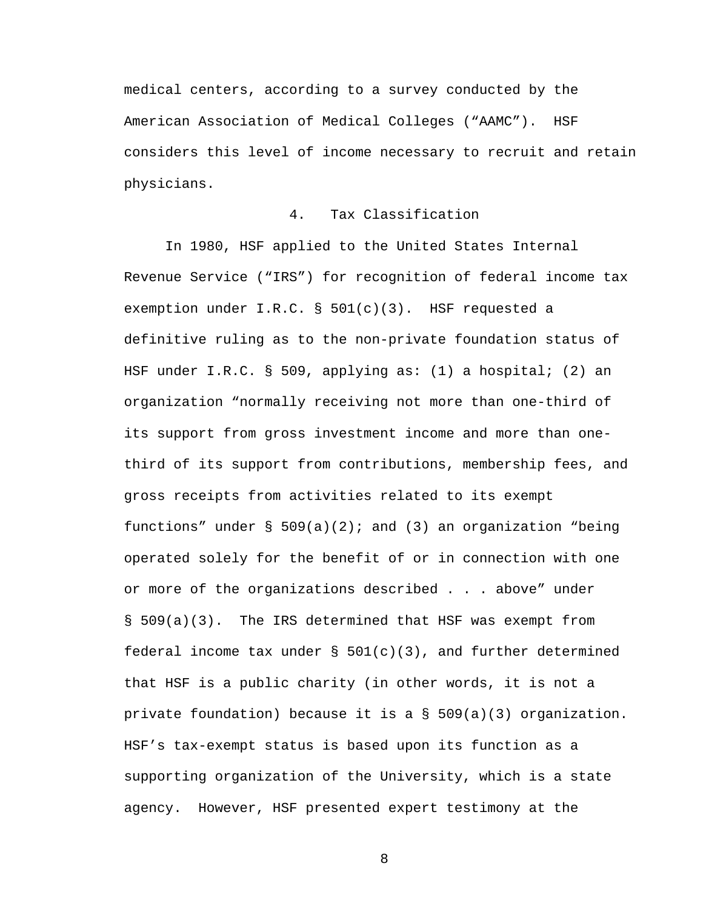medical centers, according to a survey conducted by the American Association of Medical Colleges ("AAMC"). HSF considers this level of income necessary to recruit and retain physicians.

## 4. Tax Classification

 In 1980, HSF applied to the United States Internal Revenue Service ("IRS") for recognition of federal income tax exemption under I.R.C. § 501(c)(3). HSF requested a definitive ruling as to the non-private foundation status of HSF under I.R.C. § 509, applying as: (1) a hospital; (2) an organization "normally receiving not more than one-third of its support from gross investment income and more than onethird of its support from contributions, membership fees, and gross receipts from activities related to its exempt functions" under  $\S$  509(a)(2); and (3) an organization "being operated solely for the benefit of or in connection with one or more of the organizations described . . . above" under § 509(a)(3). The IRS determined that HSF was exempt from federal income tax under  $\S$  501(c)(3), and further determined that HSF is a public charity (in other words, it is not a private foundation) because it is a § 509(a)(3) organization. HSF's tax-exempt status is based upon its function as a supporting organization of the University, which is a state agency. However, HSF presented expert testimony at the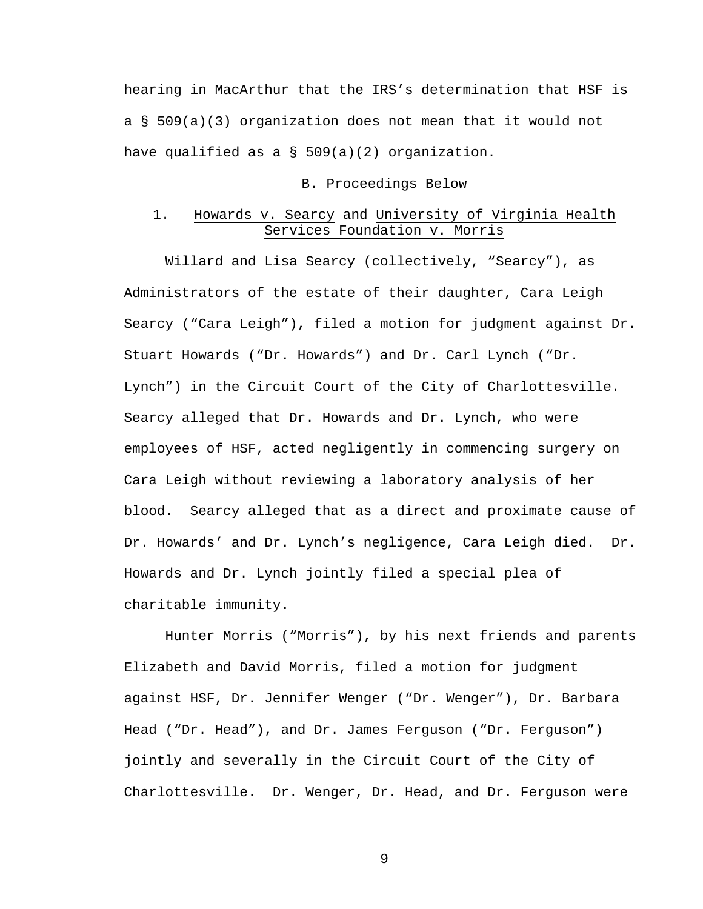hearing in MacArthur that the IRS's determination that HSF is a § 509(a)(3) organization does not mean that it would not have qualified as a § 509(a)(2) organization.

# B. Proceedings Below

# 1. Howards v. Searcy and University of Virginia Health Services Foundation v. Morris

 Willard and Lisa Searcy (collectively, "Searcy"), as Administrators of the estate of their daughter, Cara Leigh Searcy ("Cara Leigh"), filed a motion for judgment against Dr. Stuart Howards ("Dr. Howards") and Dr. Carl Lynch ("Dr. Lynch") in the Circuit Court of the City of Charlottesville. Searcy alleged that Dr. Howards and Dr. Lynch, who were employees of HSF, acted negligently in commencing surgery on Cara Leigh without reviewing a laboratory analysis of her blood. Searcy alleged that as a direct and proximate cause of Dr. Howards' and Dr. Lynch's negligence, Cara Leigh died. Dr. Howards and Dr. Lynch jointly filed a special plea of charitable immunity.

 Hunter Morris ("Morris"), by his next friends and parents Elizabeth and David Morris, filed a motion for judgment against HSF, Dr. Jennifer Wenger ("Dr. Wenger"), Dr. Barbara Head ("Dr. Head"), and Dr. James Ferguson ("Dr. Ferguson") jointly and severally in the Circuit Court of the City of Charlottesville. Dr. Wenger, Dr. Head, and Dr. Ferguson were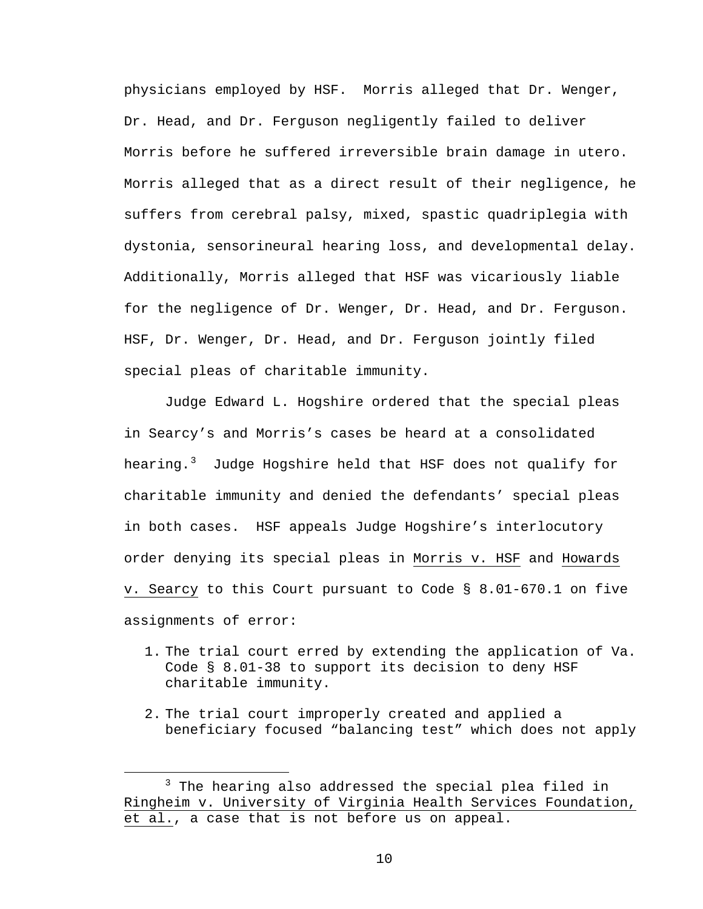physicians employed by HSF. Morris alleged that Dr. Wenger, Dr. Head, and Dr. Ferguson negligently failed to deliver Morris before he suffered irreversible brain damage in utero. Morris alleged that as a direct result of their negligence, he suffers from cerebral palsy, mixed, spastic quadriplegia with dystonia, sensorineural hearing loss, and developmental delay. Additionally, Morris alleged that HSF was vicariously liable for the negligence of Dr. Wenger, Dr. Head, and Dr. Ferguson. HSF, Dr. Wenger, Dr. Head, and Dr. Ferguson jointly filed special pleas of charitable immunity.

 Judge Edward L. Hogshire ordered that the special pleas in Searcy's and Morris's cases be heard at a consolidated hearing.<sup>[3](#page-9-0)</sup> Judge Hogshire held that HSF does not qualify for charitable immunity and denied the defendants' special pleas in both cases. HSF appeals Judge Hogshire's interlocutory order denying its special pleas in Morris v. HSF and Howards v. Searcy to this Court pursuant to Code § 8.01-670.1 on five assignments of error:

- 1. The trial court erred by extending the application of Va. Code § 8.01-38 to support its decision to deny HSF charitable immunity.
- 2. The trial court improperly created and applied a beneficiary focused "balancing test" which does not apply

<span id="page-9-0"></span> $\overline{\phantom{a}}$  3  $3$  The hearing also addressed the special plea filed in Ringheim v. University of Virginia Health Services Foundation, et al., a case that is not before us on appeal.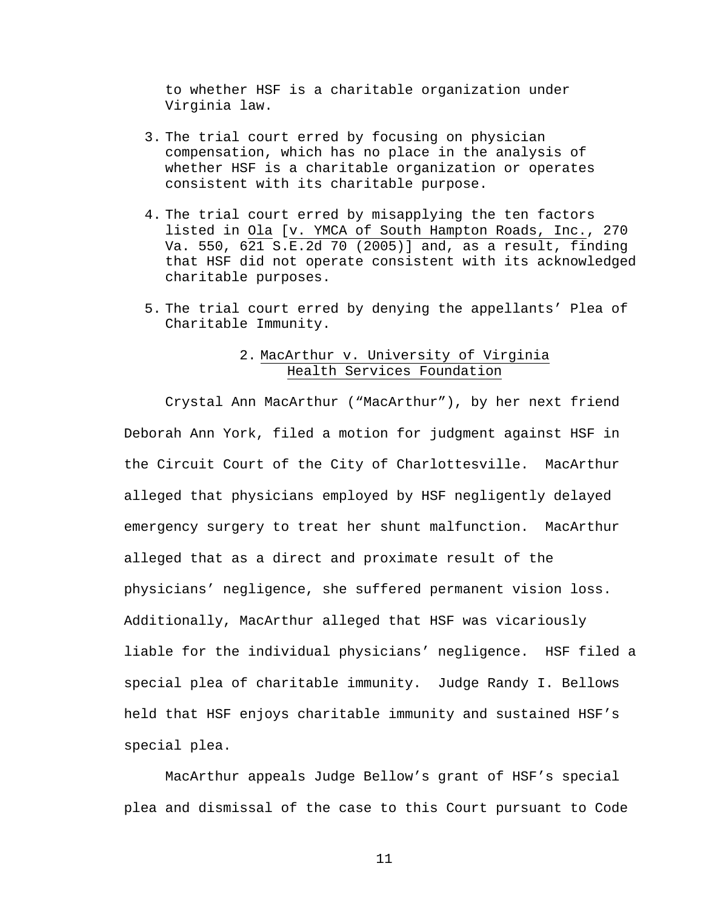to whether HSF is a charitable organization under Virginia law.

- 3. The trial court erred by focusing on physician compensation, which has no place in the analysis of whether HSF is a charitable organization or operates consistent with its charitable purpose.
- 4. The trial court erred by misapplying the ten factors listed in Ola [v. YMCA of South Hampton Roads, Inc., 270 Va. 550, 621 S.E.2d 70 (2005)] and, as a result, finding that HSF did not operate consistent with its acknowledged charitable purposes.
- 5. The trial court erred by denying the appellants' Plea of Charitable Immunity.

# 2. MacArthur v. University of Virginia Health Services Foundation

 Crystal Ann MacArthur ("MacArthur"), by her next friend Deborah Ann York, filed a motion for judgment against HSF in the Circuit Court of the City of Charlottesville. MacArthur alleged that physicians employed by HSF negligently delayed emergency surgery to treat her shunt malfunction. MacArthur alleged that as a direct and proximate result of the physicians' negligence, she suffered permanent vision loss. Additionally, MacArthur alleged that HSF was vicariously liable for the individual physicians' negligence. HSF filed a special plea of charitable immunity. Judge Randy I. Bellows held that HSF enjoys charitable immunity and sustained HSF's special plea.

MacArthur appeals Judge Bellow's grant of HSF's special plea and dismissal of the case to this Court pursuant to Code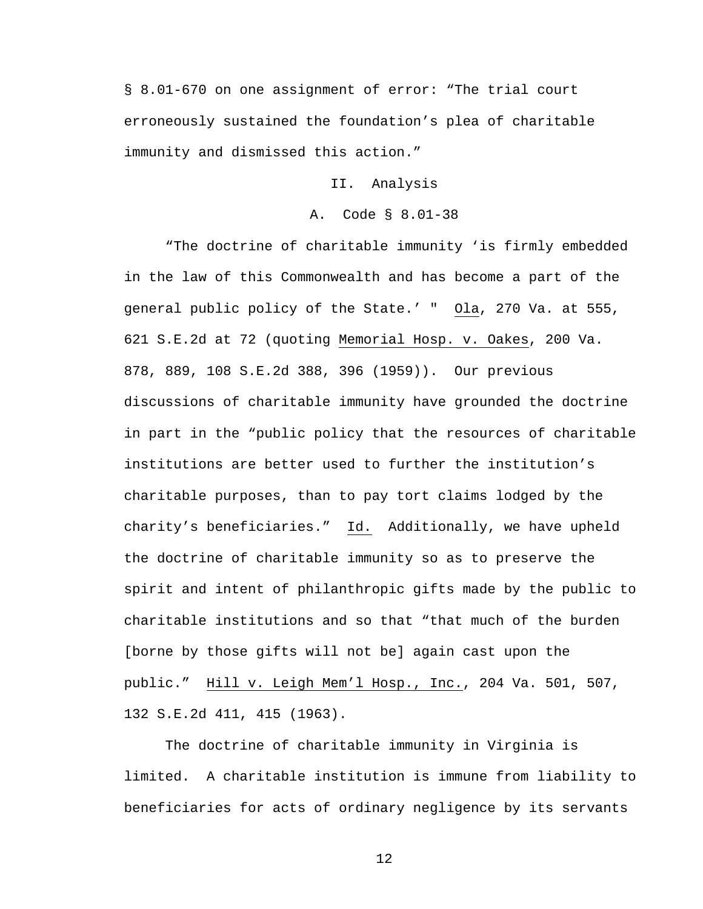§ 8.01-670 on one assignment of error: "The trial court erroneously sustained the foundation's plea of charitable immunity and dismissed this action."

### II. Analysis

### A. Code § 8.01-38

"The doctrine of charitable immunity 'is firmly embedded in the law of this Commonwealth and has become a part of the general public policy of the State.' " Ola, 270 Va. at 555, 621 S.E.2d at 72 (quoting Memorial Hosp. v. Oakes, 200 Va. 878, 889, 108 S.E.2d 388, 396 (1959)). Our previous discussions of charitable immunity have grounded the doctrine in part in the "public policy that the resources of charitable institutions are better used to further the institution's charitable purposes, than to pay tort claims lodged by the charity's beneficiaries." Id. Additionally, we have upheld the doctrine of charitable immunity so as to preserve the spirit and intent of philanthropic gifts made by the public to charitable institutions and so that "that much of the burden [borne by those gifts will not be] again cast upon the public." Hill v. Leigh Mem'l Hosp., Inc., 204 Va. 501, 507, 132 S.E.2d 411, 415 (1963).

The doctrine of charitable immunity in Virginia is limited. A charitable institution is immune from liability to beneficiaries for acts of ordinary negligence by its servants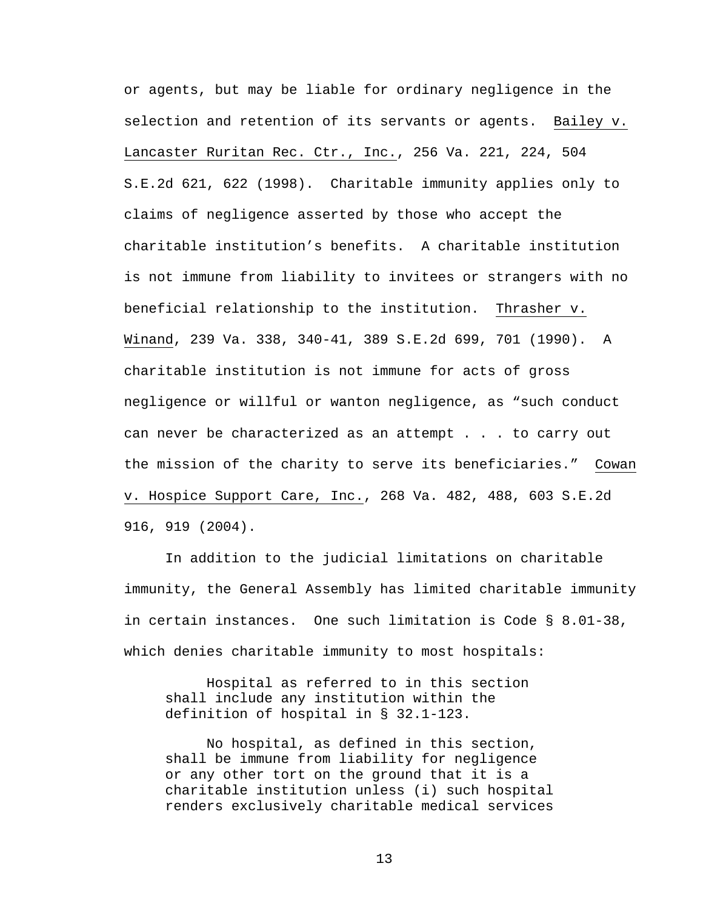or agents, but may be liable for ordinary negligence in the selection and retention of its servants or agents. Bailey v. Lancaster Ruritan Rec. Ctr., Inc., 256 Va. 221, 224, 504 S.E.2d 621, 622 (1998). Charitable immunity applies only to claims of negligence asserted by those who accept the charitable institution's benefits. A charitable institution is not immune from liability to invitees or strangers with no beneficial relationship to the institution. Thrasher v. Winand, 239 Va. 338, 340-41, 389 S.E.2d 699, 701 (1990). A charitable institution is not immune for acts of gross negligence or willful or wanton negligence, as "such conduct can never be characterized as an attempt . . . to carry out the mission of the charity to serve its beneficiaries." Cowan v. Hospice Support Care, Inc., 268 Va. 482, 488, 603 S.E.2d 916, 919 (2004).

 In addition to the judicial limitations on charitable immunity, the General Assembly has limited charitable immunity in certain instances. One such limitation is Code § 8.01-38, which denies charitable immunity to most hospitals:

Hospital as referred to in this section shall include any institution within the definition of hospital in § 32.1-123.

No hospital, as defined in this section, shall be immune from liability for negligence or any other tort on the ground that it is a charitable institution unless (i) such hospital renders exclusively charitable medical services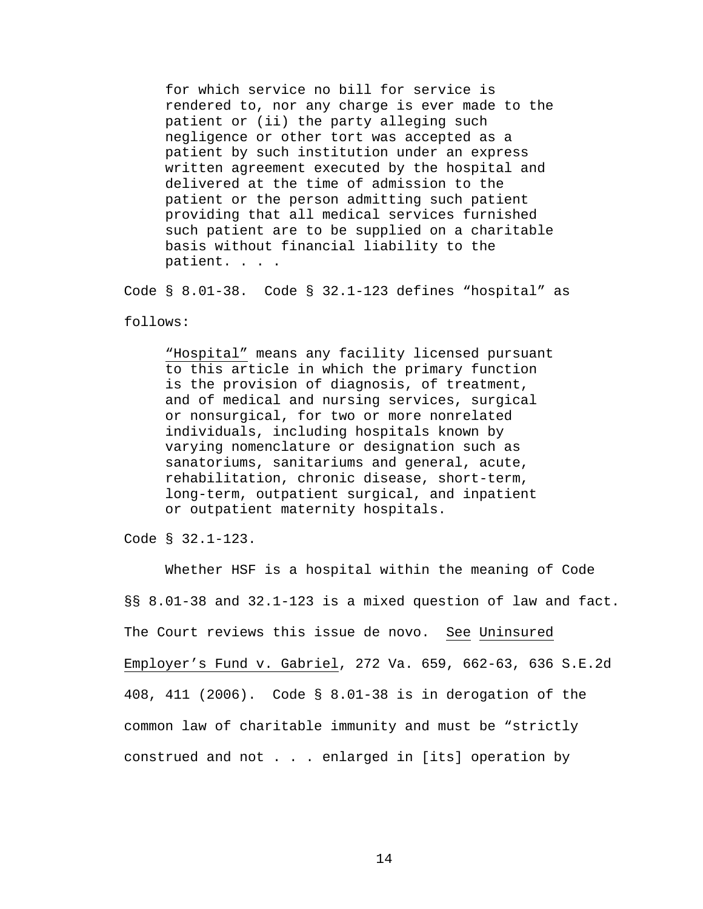for which service no bill for service is rendered to, nor any charge is ever made to the patient or (ii) the party alleging such negligence or other tort was accepted as a patient by such institution under an express written agreement executed by the hospital and delivered at the time of admission to the patient or the person admitting such patient providing that all medical services furnished such patient are to be supplied on a charitable basis without financial liability to the patient. . . .

Code § 8.01-38. Code § 32.1-123 defines "hospital" as

follows:

"Hospital" means any facility licensed pursuant to this article in which the primary function is the provision of diagnosis, of treatment, and of medical and nursing services, surgical or nonsurgical, for two or more nonrelated individuals, including hospitals known by varying nomenclature or designation such as sanatoriums, sanitariums and general, acute, rehabilitation, chronic disease, short-term, long-term, outpatient surgical, and inpatient or outpatient maternity hospitals.

Code § 32.1-123.

 Whether HSF is a hospital within the meaning of Code §§ 8.01-38 and 32.1-123 is a mixed question of law and fact. The Court reviews this issue de novo. See Uninsured Employer's Fund v. Gabriel, 272 Va. 659, 662-63, 636 S.E.2d 408, 411 (2006). Code § 8.01-38 is in derogation of the common law of charitable immunity and must be "strictly construed and not . . . enlarged in [its] operation by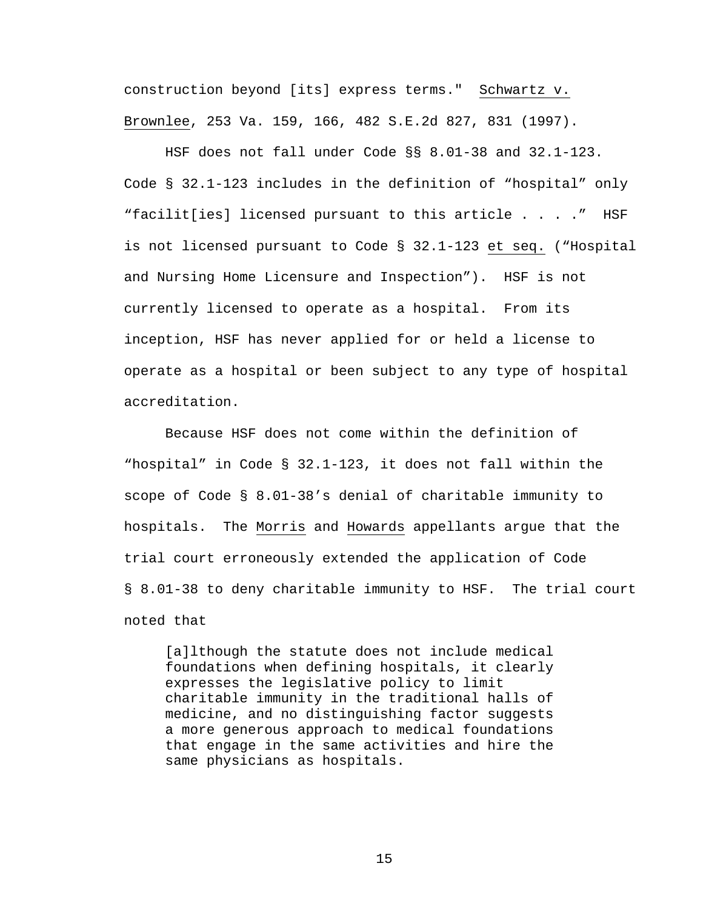construction beyond [its] express terms." Schwartz v. Brownlee, 253 Va. 159, 166, 482 S.E.2d 827, 831 (1997).

HSF does not fall under Code §§ 8.01-38 and 32.1-123. Code § 32.1-123 includes in the definition of "hospital" only "facilit[ies] licensed pursuant to this article . . . ." HSF is not licensed pursuant to Code § 32.1-123 et seq. ("Hospital and Nursing Home Licensure and Inspection"). HSF is not currently licensed to operate as a hospital. From its inception, HSF has never applied for or held a license to operate as a hospital or been subject to any type of hospital accreditation.

Because HSF does not come within the definition of "hospital" in Code § 32.1-123, it does not fall within the scope of Code § 8.01-38's denial of charitable immunity to hospitals. The Morris and Howards appellants argue that the trial court erroneously extended the application of Code § 8.01-38 to deny charitable immunity to HSF. The trial court noted that

[a]lthough the statute does not include medical foundations when defining hospitals, it clearly expresses the legislative policy to limit charitable immunity in the traditional halls of medicine, and no distinguishing factor suggests a more generous approach to medical foundations that engage in the same activities and hire the same physicians as hospitals.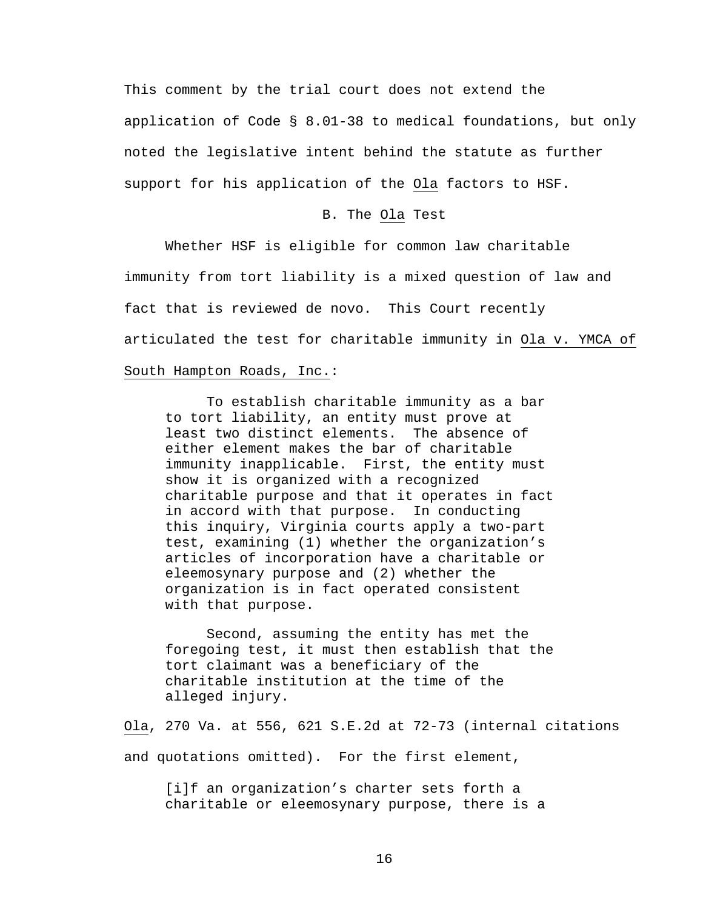This comment by the trial court does not extend the application of Code § 8.01-38 to medical foundations, but only noted the legislative intent behind the statute as further support for his application of the Ola factors to HSF.

### B. The Ola Test

Whether HSF is eligible for common law charitable immunity from tort liability is a mixed question of law and fact that is reviewed de novo. This Court recently articulated the test for charitable immunity in Ola v. YMCA of South Hampton Roads, Inc.:

To establish charitable immunity as a bar to tort liability, an entity must prove at least two distinct elements. The absence of either element makes the bar of charitable immunity inapplicable. First, the entity must show it is organized with a recognized charitable purpose and that it operates in fact in accord with that purpose. In conducting this inquiry, Virginia courts apply a two-part test, examining (1) whether the organization's articles of incorporation have a charitable or eleemosynary purpose and (2) whether the organization is in fact operated consistent with that purpose.

Second, assuming the entity has met the foregoing test, it must then establish that the tort claimant was a beneficiary of the charitable institution at the time of the alleged injury.

Ola, 270 Va. at 556, 621 S.E.2d at 72-73 (internal citations and quotations omitted). For the first element,

[i]f an organization's charter sets forth a charitable or eleemosynary purpose, there is a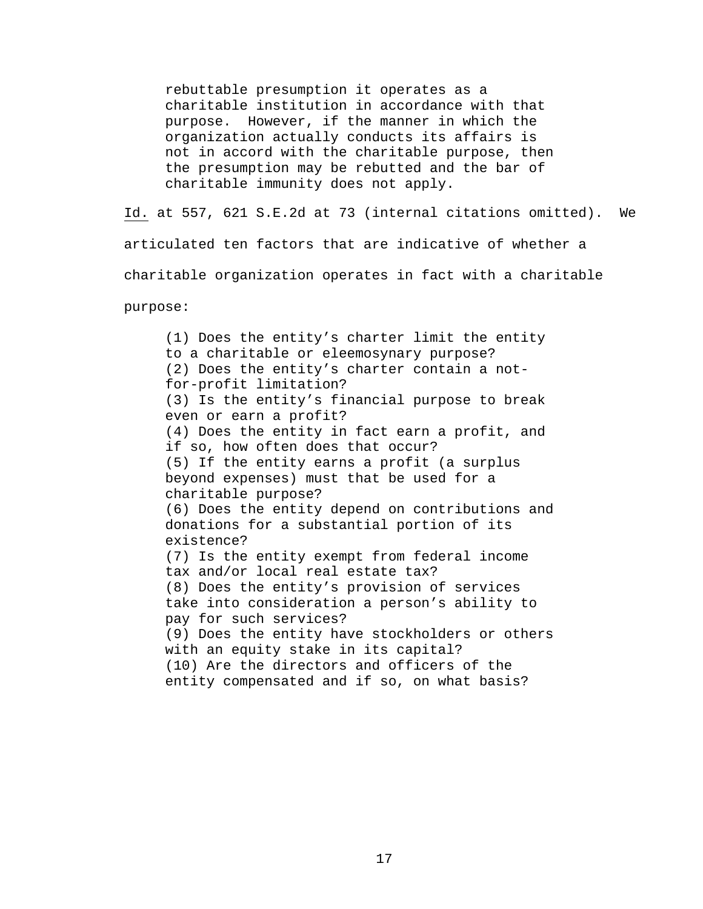rebuttable presumption it operates as a charitable institution in accordance with that purpose. However, if the manner in which the organization actually conducts its affairs is not in accord with the charitable purpose, then the presumption may be rebutted and the bar of charitable immunity does not apply.

Id. at 557, 621 S.E.2d at 73 (internal citations omitted). We articulated ten factors that are indicative of whether a charitable organization operates in fact with a charitable purpose:

(1) Does the entity's charter limit the entity to a charitable or eleemosynary purpose? (2) Does the entity's charter contain a notfor-profit limitation? (3) Is the entity's financial purpose to break even or earn a profit? (4) Does the entity in fact earn a profit, and if so, how often does that occur? (5) If the entity earns a profit (a surplus beyond expenses) must that be used for a charitable purpose? (6) Does the entity depend on contributions and donations for a substantial portion of its existence? (7) Is the entity exempt from federal income tax and/or local real estate tax? (8) Does the entity's provision of services take into consideration a person's ability to pay for such services? (9) Does the entity have stockholders or others with an equity stake in its capital? (10) Are the directors and officers of the entity compensated and if so, on what basis?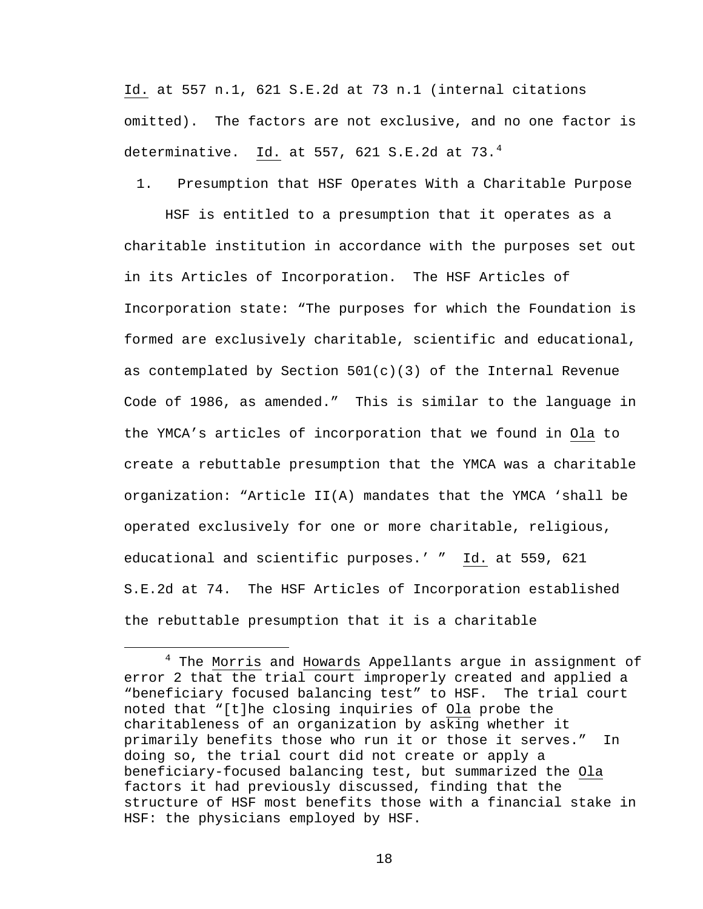Id. at 557 n.1, 621 S.E.2d at 73 n.1 (internal citations omitted). The factors are not exclusive, and no one factor is determinative. Id. at 557, 621 S.E.2d at 73. $<sup>4</sup>$  $<sup>4</sup>$  $<sup>4</sup>$ </sup>

1. Presumption that HSF Operates With a Charitable Purpose

 HSF is entitled to a presumption that it operates as a charitable institution in accordance with the purposes set out in its Articles of Incorporation. The HSF Articles of Incorporation state: "The purposes for which the Foundation is formed are exclusively charitable, scientific and educational, as contemplated by Section  $501(c)(3)$  of the Internal Revenue Code of 1986, as amended." This is similar to the language in the YMCA's articles of incorporation that we found in Ola to create a rebuttable presumption that the YMCA was a charitable organization: "Article II(A) mandates that the YMCA 'shall be operated exclusively for one or more charitable, religious, educational and scientific purposes.' " Id. at 559, 621 S.E.2d at 74. The HSF Articles of Incorporation established the rebuttable presumption that it is a charitable

<span id="page-17-0"></span> $\overline{4}$ <sup>4</sup> The Morris and Howards Appellants argue in assignment of error 2 that the trial court improperly created and applied a "beneficiary focused balancing test" to HSF. The trial court noted that "[t]he closing inquiries of Ola probe the charitableness of an organization by asking whether it primarily benefits those who run it or those it serves." In doing so, the trial court did not create or apply a beneficiary-focused balancing test, but summarized the Ola factors it had previously discussed, finding that the structure of HSF most benefits those with a financial stake in HSF: the physicians employed by HSF.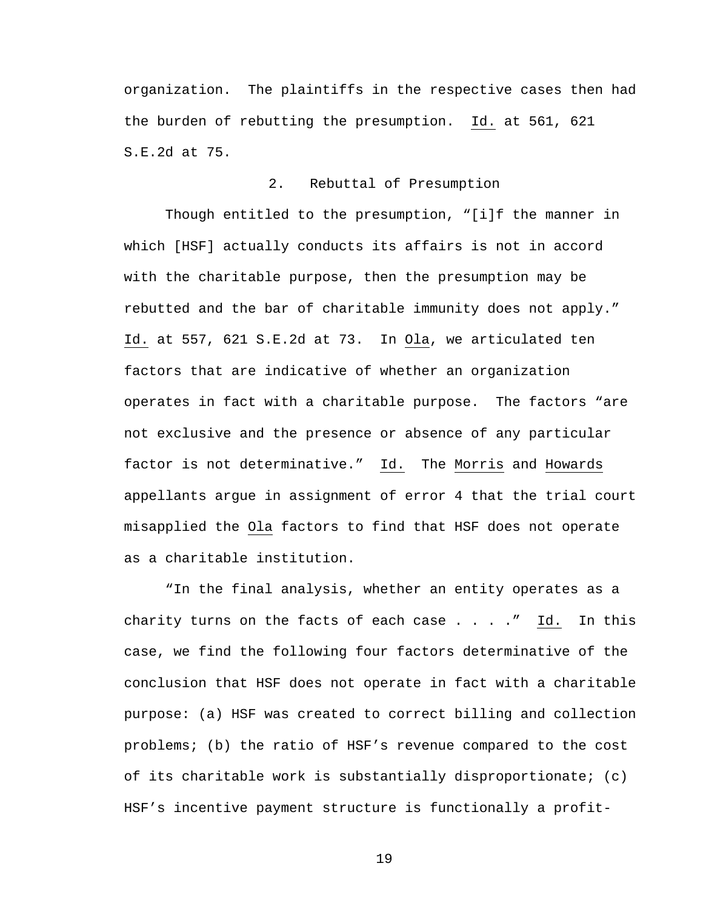organization. The plaintiffs in the respective cases then had the burden of rebutting the presumption. Id. at 561, 621 S.E.2d at 75.

# 2. Rebuttal of Presumption

 Though entitled to the presumption, "[i]f the manner in which [HSF] actually conducts its affairs is not in accord with the charitable purpose, then the presumption may be rebutted and the bar of charitable immunity does not apply." Id. at 557, 621 S.E.2d at 73. In Ola, we articulated ten factors that are indicative of whether an organization operates in fact with a charitable purpose. The factors "are not exclusive and the presence or absence of any particular factor is not determinative." Id. The Morris and Howards appellants argue in assignment of error 4 that the trial court misapplied the Ola factors to find that HSF does not operate as a charitable institution.

"In the final analysis, whether an entity operates as a charity turns on the facts of each case  $\ldots$  . . . " Id. In this case, we find the following four factors determinative of the conclusion that HSF does not operate in fact with a charitable purpose: (a) HSF was created to correct billing and collection problems; (b) the ratio of HSF's revenue compared to the cost of its charitable work is substantially disproportionate; (c) HSF's incentive payment structure is functionally a profit-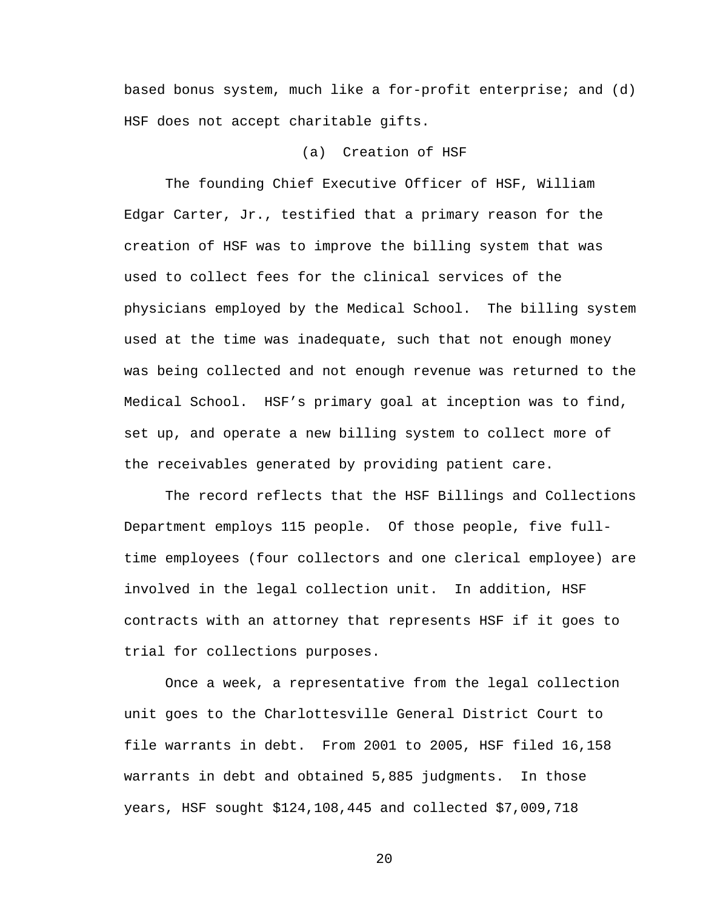based bonus system, much like a for-profit enterprise; and (d) HSF does not accept charitable gifts.

### (a) Creation of HSF

 The founding Chief Executive Officer of HSF, William Edgar Carter, Jr., testified that a primary reason for the creation of HSF was to improve the billing system that was used to collect fees for the clinical services of the physicians employed by the Medical School. The billing system used at the time was inadequate, such that not enough money was being collected and not enough revenue was returned to the Medical School. HSF's primary goal at inception was to find, set up, and operate a new billing system to collect more of the receivables generated by providing patient care.

 The record reflects that the HSF Billings and Collections Department employs 115 people. Of those people, five fulltime employees (four collectors and one clerical employee) are involved in the legal collection unit. In addition, HSF contracts with an attorney that represents HSF if it goes to trial for collections purposes.

 Once a week, a representative from the legal collection unit goes to the Charlottesville General District Court to file warrants in debt. From 2001 to 2005, HSF filed 16,158 warrants in debt and obtained 5,885 judgments. In those years, HSF sought \$124,108,445 and collected \$7,009,718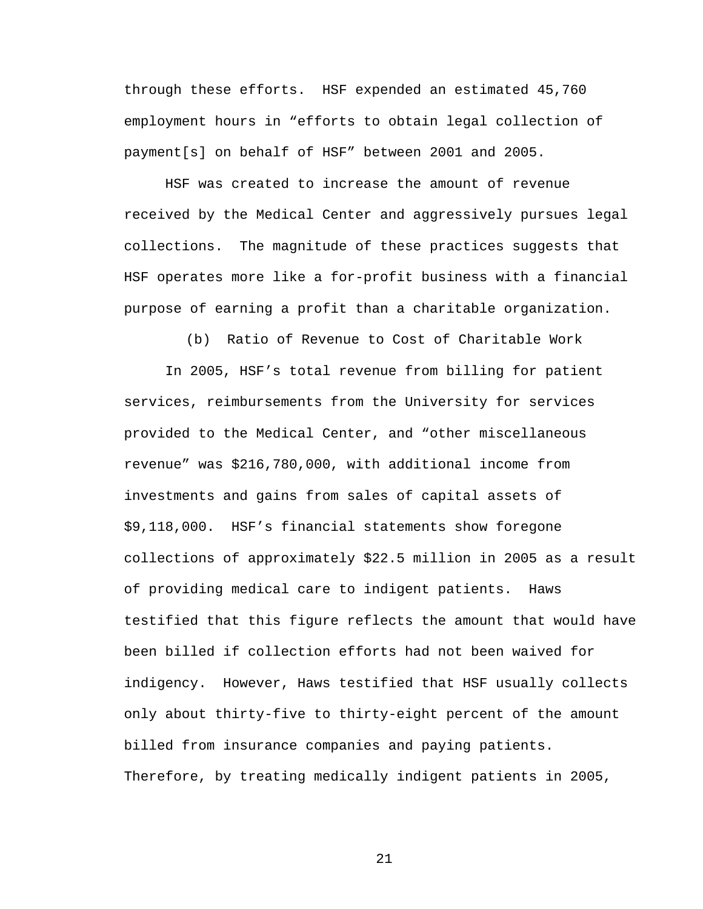through these efforts. HSF expended an estimated 45,760 employment hours in "efforts to obtain legal collection of payment[s] on behalf of HSF" between 2001 and 2005.

 HSF was created to increase the amount of revenue received by the Medical Center and aggressively pursues legal collections. The magnitude of these practices suggests that HSF operates more like a for-profit business with a financial purpose of earning a profit than a charitable organization.

(b) Ratio of Revenue to Cost of Charitable Work

 In 2005, HSF's total revenue from billing for patient services, reimbursements from the University for services provided to the Medical Center, and "other miscellaneous revenue" was \$216,780,000, with additional income from investments and gains from sales of capital assets of \$9,118,000. HSF's financial statements show foregone collections of approximately \$22.5 million in 2005 as a result of providing medical care to indigent patients. Haws testified that this figure reflects the amount that would have been billed if collection efforts had not been waived for indigency. However, Haws testified that HSF usually collects only about thirty-five to thirty-eight percent of the amount billed from insurance companies and paying patients. Therefore, by treating medically indigent patients in 2005,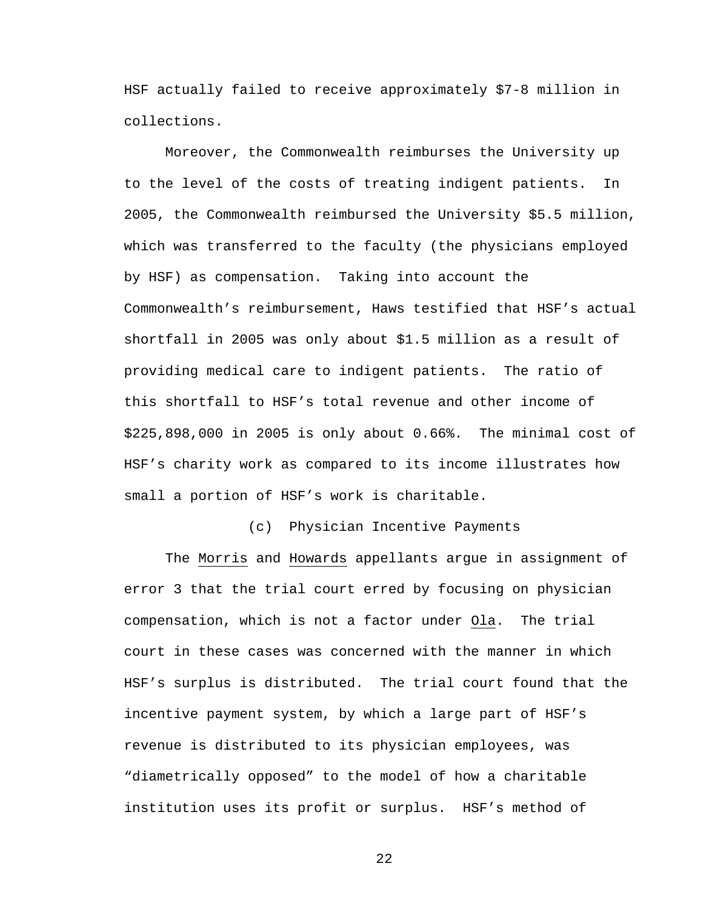HSF actually failed to receive approximately \$7-8 million in collections.

 Moreover, the Commonwealth reimburses the University up to the level of the costs of treating indigent patients. In 2005, the Commonwealth reimbursed the University \$5.5 million, which was transferred to the faculty (the physicians employed by HSF) as compensation. Taking into account the Commonwealth's reimbursement, Haws testified that HSF's actual shortfall in 2005 was only about \$1.5 million as a result of providing medical care to indigent patients. The ratio of this shortfall to HSF's total revenue and other income of \$225,898,000 in 2005 is only about 0.66%. The minimal cost of HSF's charity work as compared to its income illustrates how small a portion of HSF's work is charitable.

(c) Physician Incentive Payments

The Morris and Howards appellants argue in assignment of error 3 that the trial court erred by focusing on physician compensation, which is not a factor under Ola. The trial court in these cases was concerned with the manner in which HSF's surplus is distributed. The trial court found that the incentive payment system, by which a large part of HSF's revenue is distributed to its physician employees, was "diametrically opposed" to the model of how a charitable institution uses its profit or surplus. HSF's method of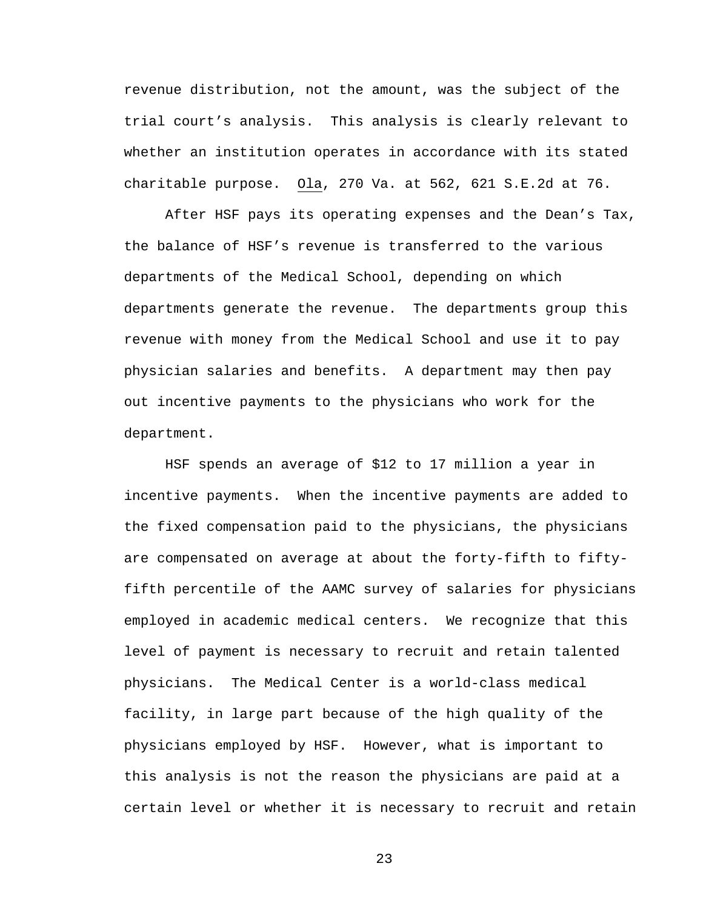revenue distribution, not the amount, was the subject of the trial court's analysis. This analysis is clearly relevant to whether an institution operates in accordance with its stated charitable purpose. Ola, 270 Va. at 562, 621 S.E.2d at 76.

 After HSF pays its operating expenses and the Dean's Tax, the balance of HSF's revenue is transferred to the various departments of the Medical School, depending on which departments generate the revenue. The departments group this revenue with money from the Medical School and use it to pay physician salaries and benefits. A department may then pay out incentive payments to the physicians who work for the department.

 HSF spends an average of \$12 to 17 million a year in incentive payments. When the incentive payments are added to the fixed compensation paid to the physicians, the physicians are compensated on average at about the forty-fifth to fiftyfifth percentile of the AAMC survey of salaries for physicians employed in academic medical centers. We recognize that this level of payment is necessary to recruit and retain talented physicians. The Medical Center is a world-class medical facility, in large part because of the high quality of the physicians employed by HSF. However, what is important to this analysis is not the reason the physicians are paid at a certain level or whether it is necessary to recruit and retain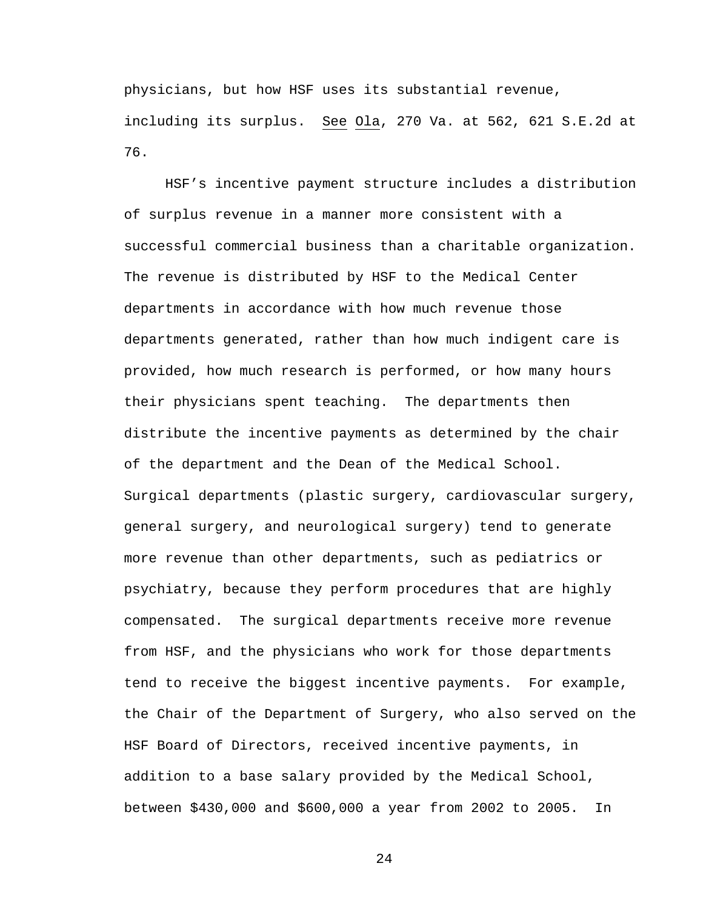physicians, but how HSF uses its substantial revenue, including its surplus. See Ola, 270 Va. at 562, 621 S.E.2d at 76.

HSF's incentive payment structure includes a distribution of surplus revenue in a manner more consistent with a successful commercial business than a charitable organization. The revenue is distributed by HSF to the Medical Center departments in accordance with how much revenue those departments generated, rather than how much indigent care is provided, how much research is performed, or how many hours their physicians spent teaching. The departments then distribute the incentive payments as determined by the chair of the department and the Dean of the Medical School. Surgical departments (plastic surgery, cardiovascular surgery, general surgery, and neurological surgery) tend to generate more revenue than other departments, such as pediatrics or psychiatry, because they perform procedures that are highly compensated. The surgical departments receive more revenue from HSF, and the physicians who work for those departments tend to receive the biggest incentive payments. For example, the Chair of the Department of Surgery, who also served on the HSF Board of Directors, received incentive payments, in addition to a base salary provided by the Medical School, between \$430,000 and \$600,000 a year from 2002 to 2005. In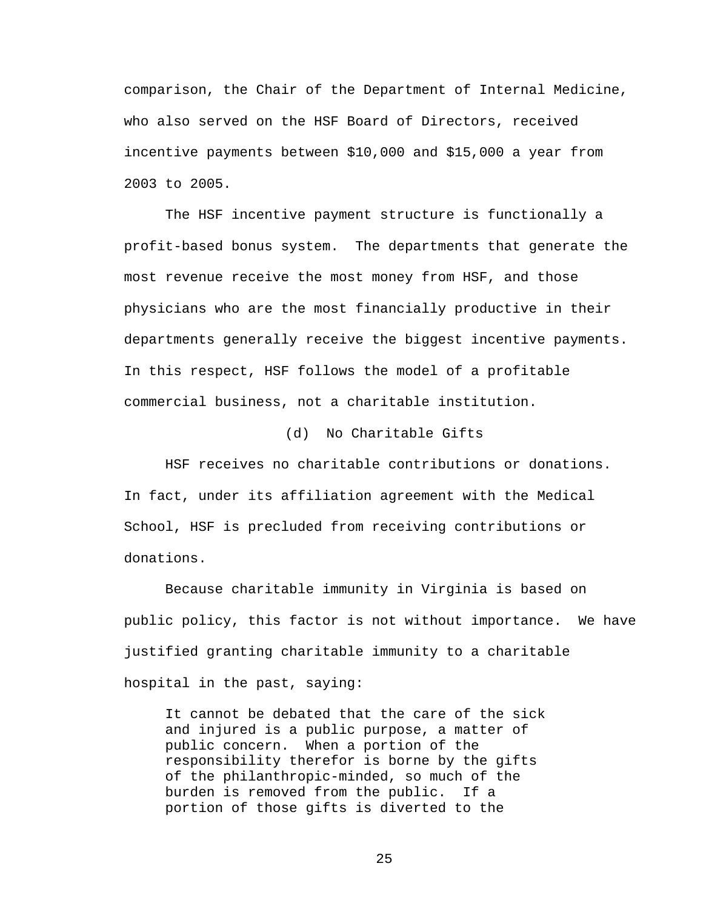comparison, the Chair of the Department of Internal Medicine, who also served on the HSF Board of Directors, received incentive payments between \$10,000 and \$15,000 a year from 2003 to 2005.

The HSF incentive payment structure is functionally a profit-based bonus system. The departments that generate the most revenue receive the most money from HSF, and those physicians who are the most financially productive in their departments generally receive the biggest incentive payments. In this respect, HSF follows the model of a profitable commercial business, not a charitable institution.

(d) No Charitable Gifts

 HSF receives no charitable contributions or donations. In fact, under its affiliation agreement with the Medical School, HSF is precluded from receiving contributions or donations.

 Because charitable immunity in Virginia is based on public policy, this factor is not without importance. We have justified granting charitable immunity to a charitable hospital in the past, saying:

It cannot be debated that the care of the sick and injured is a public purpose, a matter of public concern. When a portion of the responsibility therefor is borne by the gifts of the philanthropic-minded, so much of the burden is removed from the public. If a portion of those gifts is diverted to the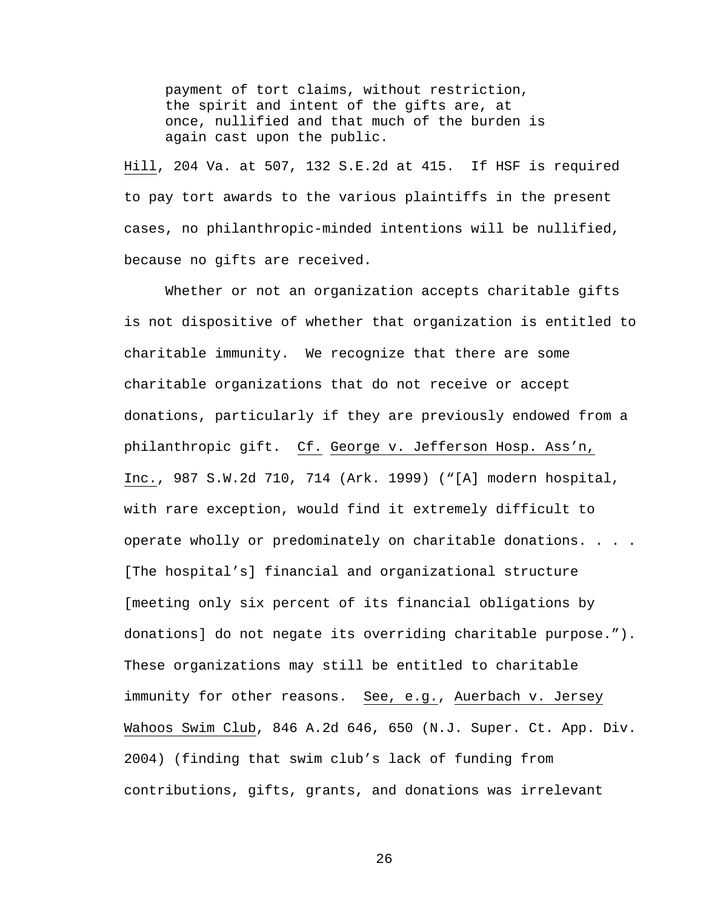payment of tort claims, without restriction, the spirit and intent of the gifts are, at once, nullified and that much of the burden is again cast upon the public.

Hill, 204 Va. at 507, 132 S.E.2d at 415. If HSF is required to pay tort awards to the various plaintiffs in the present cases, no philanthropic-minded intentions will be nullified, because no gifts are received.

 Whether or not an organization accepts charitable gifts is not dispositive of whether that organization is entitled to charitable immunity. We recognize that there are some charitable organizations that do not receive or accept donations, particularly if they are previously endowed from a philanthropic gift. Cf. George v. Jefferson Hosp. Ass'n, Inc., 987 S.W.2d 710, 714 (Ark. 1999) ("[A] modern hospital, with rare exception, would find it extremely difficult to operate wholly or predominately on charitable donations. . . . [The hospital's] financial and organizational structure [meeting only six percent of its financial obligations by donations] do not negate its overriding charitable purpose."). These organizations may still be entitled to charitable immunity for other reasons. See, e.g., Auerbach v. Jersey Wahoos Swim Club, 846 A.2d 646, 650 (N.J. Super. Ct. App. Div. 2004) (finding that swim club's lack of funding from contributions, gifts, grants, and donations was irrelevant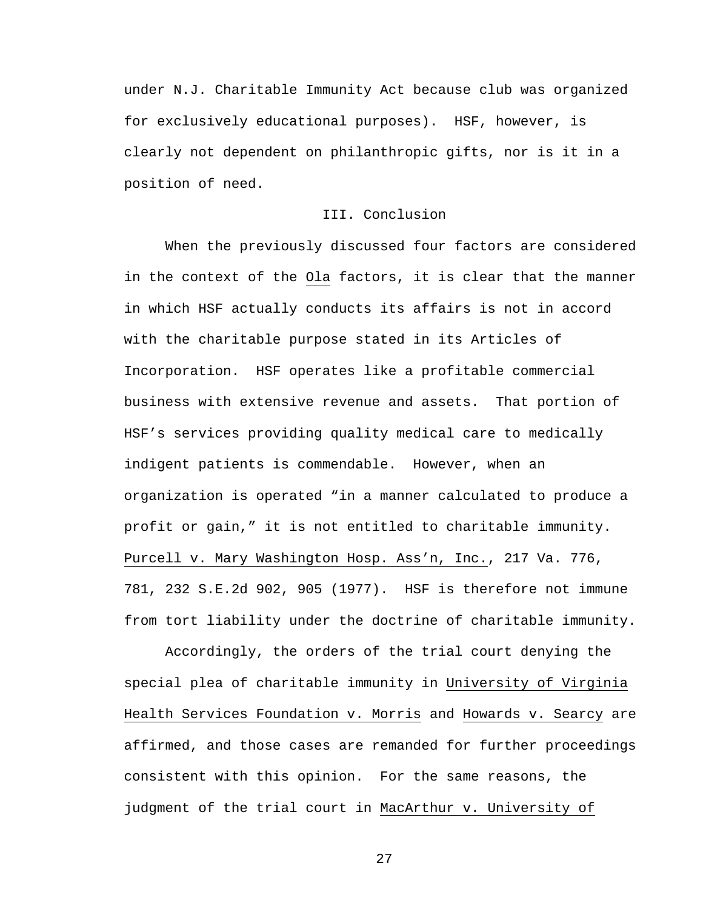under N.J. Charitable Immunity Act because club was organized for exclusively educational purposes). HSF, however, is clearly not dependent on philanthropic gifts, nor is it in a position of need.

# III. Conclusion

 When the previously discussed four factors are considered in the context of the Ola factors, it is clear that the manner in which HSF actually conducts its affairs is not in accord with the charitable purpose stated in its Articles of Incorporation. HSF operates like a profitable commercial business with extensive revenue and assets. That portion of HSF's services providing quality medical care to medically indigent patients is commendable. However, when an organization is operated "in a manner calculated to produce a profit or gain," it is not entitled to charitable immunity. Purcell v. Mary Washington Hosp. Ass'n, Inc., 217 Va. 776, 781, 232 S.E.2d 902, 905 (1977). HSF is therefore not immune from tort liability under the doctrine of charitable immunity.

Accordingly, the orders of the trial court denying the special plea of charitable immunity in University of Virginia Health Services Foundation v. Morris and Howards v. Searcy are affirmed, and those cases are remanded for further proceedings consistent with this opinion. For the same reasons, the judgment of the trial court in MacArthur v. University of